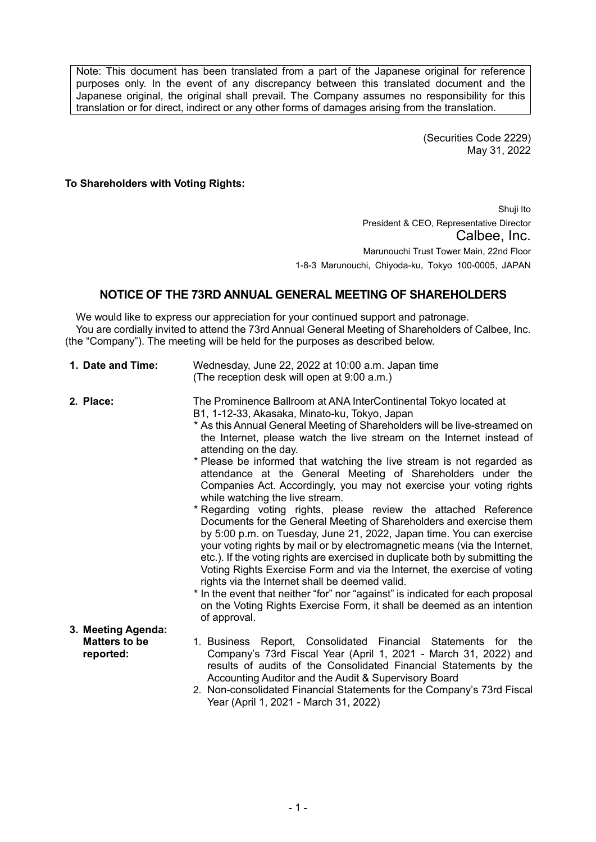Note: This document has been translated from a part of the Japanese original for reference purposes only. In the event of any discrepancy between this translated document and the Japanese original, the original shall prevail. The Company assumes no responsibility for this translation or for direct, indirect or any other forms of damages arising from the translation.

> (Securities Code 2229) May 31, 2022

**To Shareholders with Voting Rights:**

Shuji Ito President & CEO, Representative Director Calbee, Inc. Marunouchi Trust Tower Main, 22nd Floor 1-8-3 Marunouchi, Chiyoda-ku, Tokyo 100-0005, JAPAN

## **NOTICE OF THE 73RD ANNUAL GENERAL MEETING OF SHAREHOLDERS**

We would like to express our appreciation for your continued support and patronage. You are cordially invited to attend the 73rd Annual General Meeting of Shareholders of Calbee, Inc. (the "Company"). The meeting will be held for the purposes as described below.

| 1. Date and Time:                                       | Wednesday, June 22, 2022 at 10:00 a.m. Japan time<br>(The reception desk will open at 9:00 a.m.)                                                                                                                                                                                                                                                                                                                                                                                                                                                                                                                                                                                                                                                                                                                                                                                                                                                                                                                                                                                                                                                                                                                                             |
|---------------------------------------------------------|----------------------------------------------------------------------------------------------------------------------------------------------------------------------------------------------------------------------------------------------------------------------------------------------------------------------------------------------------------------------------------------------------------------------------------------------------------------------------------------------------------------------------------------------------------------------------------------------------------------------------------------------------------------------------------------------------------------------------------------------------------------------------------------------------------------------------------------------------------------------------------------------------------------------------------------------------------------------------------------------------------------------------------------------------------------------------------------------------------------------------------------------------------------------------------------------------------------------------------------------|
| 2. Place:                                               | The Prominence Ballroom at ANA InterContinental Tokyo located at<br>B1, 1-12-33, Akasaka, Minato-ku, Tokyo, Japan<br>* As this Annual General Meeting of Shareholders will be live-streamed on<br>the Internet, please watch the live stream on the Internet instead of<br>attending on the day.<br>* Please be informed that watching the live stream is not regarded as<br>attendance at the General Meeting of Shareholders under the<br>Companies Act. Accordingly, you may not exercise your voting rights<br>while watching the live stream.<br>* Regarding voting rights, please review the attached Reference<br>Documents for the General Meeting of Shareholders and exercise them<br>by 5:00 p.m. on Tuesday, June 21, 2022, Japan time. You can exercise<br>your voting rights by mail or by electromagnetic means (via the Internet,<br>etc.). If the voting rights are exercised in duplicate both by submitting the<br>Voting Rights Exercise Form and via the Internet, the exercise of voting<br>rights via the Internet shall be deemed valid.<br>* In the event that neither "for" nor "against" is indicated for each proposal<br>on the Voting Rights Exercise Form, it shall be deemed as an intention<br>of approval. |
| 3. Meeting Agenda:<br><b>Matters to be</b><br>reported: | 1. Business Report, Consolidated Financial Statements<br>the<br>for<br>Company's 73rd Fiscal Year (April 1, 2021 - March 31, 2022) and<br>results of audits of the Consolidated Financial Statements by the<br>Accounting Auditor and the Audit & Supervisory Board<br>2. Non-consolidated Financial Statements for the Company's 73rd Fiscal<br>Year (April 1, 2021 - March 31, 2022)                                                                                                                                                                                                                                                                                                                                                                                                                                                                                                                                                                                                                                                                                                                                                                                                                                                       |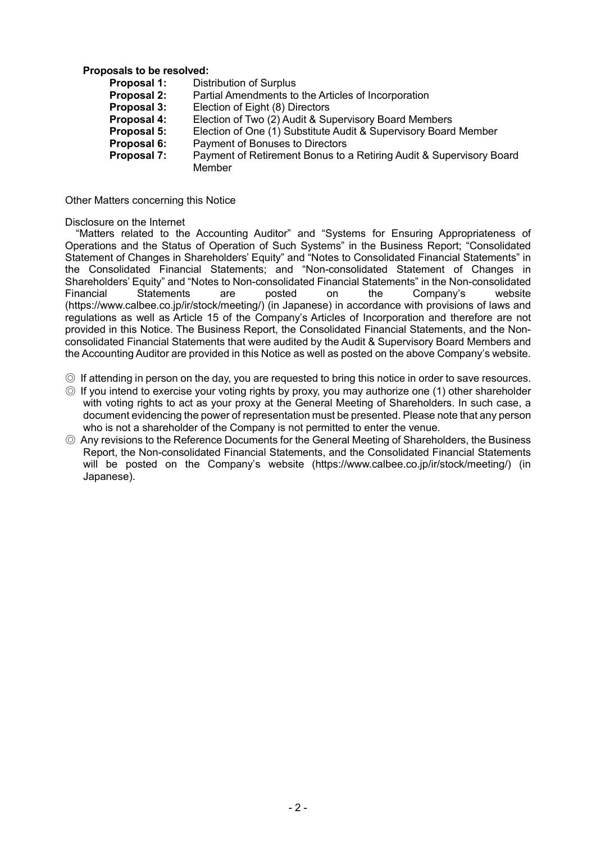# **Proposals to be resolved:**<br>**Proposal 1:** Dist

- **Proposal 1:** Distribution of Surplus<br>**Proposal 2:** Partial Amendments to
- Partial Amendments to the Articles of Incorporation
- **Proposal 3:** Election of Eight (8) Directors
- **Proposal 4:** Election of Two (2) Audit & Supervisory Board Members
- **Proposal 5:** Election of One (1) Substitute Audit & Supervisory Board Member
- **Proposal 6:** Payment of Bonuses to Directors<br>**Proposal 7:** Payment of Retirement Bonus to
	- Payment of Retirement Bonus to a Retiring Audit & Supervisory Board Member

Other Matters concerning this Notice

#### Disclosure on the Internet

"Matters related to the Accounting Auditor" and "Systems for Ensuring Appropriateness of Operations and the Status of Operation of Such Systems" in the Business Report; "Consolidated Statement of Changes in Shareholders' Equity" and "Notes to Consolidated Financial Statements" in the Consolidated Financial Statements; and "Non-consolidated Statement of Changes in Shareholders' Equity" and "Notes to Non-consolidated Financial Statements" in the Non-consolidated Financial Statements are posted on the Company's website (https://www.calbee.co.jp/ir/stock/meeting/) (in Japanese) in accordance with provisions of laws and regulations as well as Article 15 of the Company's Articles of Incorporation and therefore are not provided in this Notice. The Business Report, the Consolidated Financial Statements, and the Nonconsolidated Financial Statements that were audited by the Audit & Supervisory Board Members and the Accounting Auditor are provided in this Notice as well as posted on the above Company's website.

- ◎ If attending in person on the day, you are requested to bring this notice in order to save resources.
- ◎ If you intend to exercise your voting rights by proxy, you may authorize one (1) other shareholder with voting rights to act as your proxy at the General Meeting of Shareholders. In such case, a document evidencing the power of representation must be presented. Please note that any person who is not a shareholder of the Company is not permitted to enter the venue.
- ◎ Any revisions to the Reference Documents for the General Meeting of Shareholders, the Business Report, the Non-consolidated Financial Statements, and the Consolidated Financial Statements will be posted on the Company's website (https://www.calbee.co.jp/ir/stock/meeting/) (in Japanese).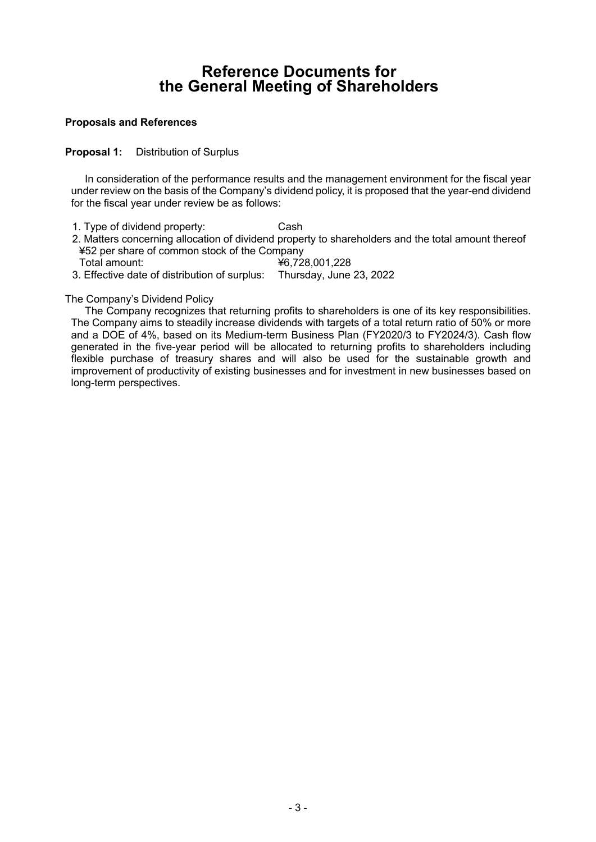# **Reference Documents for the General Meeting of Shareholders**

#### **Proposals and References**

**Proposal 1:** Distribution of Surplus

In consideration of the performance results and the management environment for the fiscal year under review on the basis of the Company's dividend policy, it is proposed that the year-end dividend for the fiscal year under review be as follows:

- 1. Type of dividend property: Cash
- 2. Matters concerning allocation of dividend property to shareholders and the total amount thereof ¥52 per share of common stock of the Company
- Total amount: ¥6,728,001,228
- 3. Effective date of distribution of surplus: Thursday, June 23, 2022

### The Company's Dividend Policy

The Company recognizes that returning profits to shareholders is one of its key responsibilities. The Company aims to steadily increase dividends with targets of a total return ratio of 50% or more and a DOE of 4%, based on its Medium-term Business Plan (FY2020/3 to FY2024/3). Cash flow generated in the five-year period will be allocated to returning profits to shareholders including flexible purchase of treasury shares and will also be used for the sustainable growth and improvement of productivity of existing businesses and for investment in new businesses based on long-term perspectives.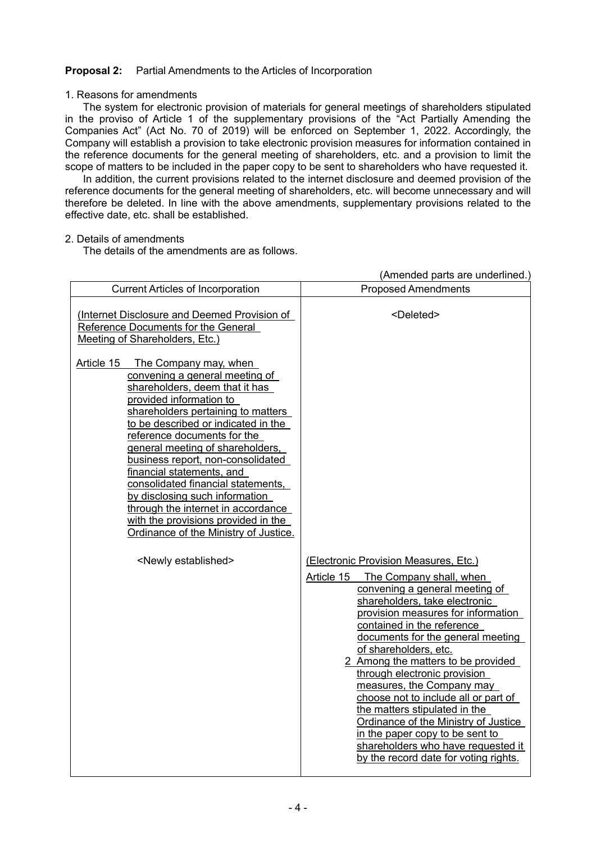### **Proposal 2:** Partial Amendments to the Articles of Incorporation

#### 1. Reasons for amendments

The system for electronic provision of materials for general meetings of shareholders stipulated in the proviso of Article 1 of the supplementary provisions of the "Act Partially Amending the Companies Act" (Act No. 70 of 2019) will be enforced on September 1, 2022. Accordingly, the Company will establish a provision to take electronic provision measures for information contained in the reference documents for the general meeting of shareholders, etc. and a provision to limit the scope of matters to be included in the paper copy to be sent to shareholders who have requested it.

In addition, the current provisions related to the internet disclosure and deemed provision of the reference documents for the general meeting of shareholders, etc. will become unnecessary and will therefore be deleted. In line with the above amendments, supplementary provisions related to the effective date, etc. shall be established.

#### 2. Details of amendments

The details of the amendments are as follows.

|                                                                                                                                                                                                                                                                                                                                                                                                                                                                                                                                                    | (Amended parts are underlined.)                                                                                                                                                                                                                                                                                                                                                                                                                                                                                                                                                                                           |
|----------------------------------------------------------------------------------------------------------------------------------------------------------------------------------------------------------------------------------------------------------------------------------------------------------------------------------------------------------------------------------------------------------------------------------------------------------------------------------------------------------------------------------------------------|---------------------------------------------------------------------------------------------------------------------------------------------------------------------------------------------------------------------------------------------------------------------------------------------------------------------------------------------------------------------------------------------------------------------------------------------------------------------------------------------------------------------------------------------------------------------------------------------------------------------------|
| <b>Current Articles of Incorporation</b>                                                                                                                                                                                                                                                                                                                                                                                                                                                                                                           | <b>Proposed Amendments</b>                                                                                                                                                                                                                                                                                                                                                                                                                                                                                                                                                                                                |
| (Internet Disclosure and Deemed Provision of<br>Reference Documents for the General<br>Meeting of Shareholders, Etc.)                                                                                                                                                                                                                                                                                                                                                                                                                              | <deleted></deleted>                                                                                                                                                                                                                                                                                                                                                                                                                                                                                                                                                                                                       |
| Article 15<br>The Company may, when<br>convening a general meeting of<br>shareholders, deem that it has<br>provided information to<br>shareholders pertaining to matters<br>to be described or indicated in the<br>reference documents for the<br>general meeting of shareholders,<br>business report, non-consolidated<br>financial statements, and<br>consolidated financial statements,<br>by disclosing such information<br>through the internet in accordance<br>with the provisions provided in the<br>Ordinance of the Ministry of Justice. |                                                                                                                                                                                                                                                                                                                                                                                                                                                                                                                                                                                                                           |
| <newly established=""></newly>                                                                                                                                                                                                                                                                                                                                                                                                                                                                                                                     | (Electronic Provision Measures, Etc.)<br>Article 15<br>The Company shall, when<br>convening a general meeting of<br>shareholders, take electronic<br>provision measures for information<br>contained in the reference<br>documents for the general meeting<br>of shareholders, etc.<br>2 Among the matters to be provided<br>through electronic provision<br>measures, the Company may<br>choose not to include all or part of<br>the matters stipulated in the<br>Ordinance of the Ministry of Justice<br>in the paper copy to be sent to<br>shareholders who have requested it<br>by the record date for voting rights. |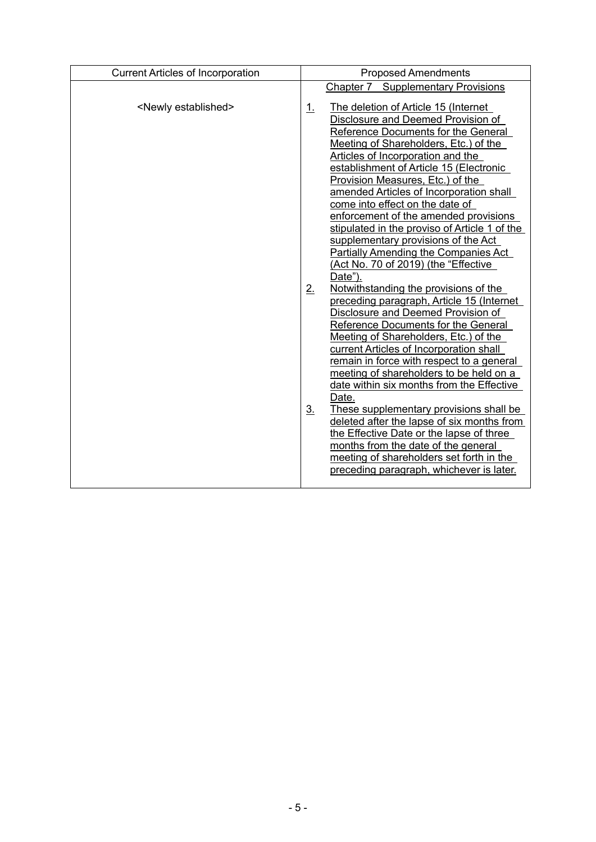| <b>Current Articles of Incorporation</b> | <b>Proposed Amendments</b>                                                                                                                                                                                                                                                                                                                                                                                                                                                                                                                                                                                                                                                                    |  |  |
|------------------------------------------|-----------------------------------------------------------------------------------------------------------------------------------------------------------------------------------------------------------------------------------------------------------------------------------------------------------------------------------------------------------------------------------------------------------------------------------------------------------------------------------------------------------------------------------------------------------------------------------------------------------------------------------------------------------------------------------------------|--|--|
|                                          | <b>Chapter 7 Supplementary Provisions</b>                                                                                                                                                                                                                                                                                                                                                                                                                                                                                                                                                                                                                                                     |  |  |
| <newly established=""></newly>           | The deletion of Article 15 (Internet<br>1.<br>Disclosure and Deemed Provision of<br>Reference Documents for the General<br>Meeting of Shareholders, Etc.) of the<br>Articles of Incorporation and the<br>establishment of Article 15 (Electronic<br>Provision Measures, Etc.) of the<br>amended Articles of Incorporation shall<br>come into effect on the date of<br>enforcement of the amended provisions<br>stipulated in the proviso of Article 1 of the<br>supplementary provisions of the Act<br><b>Partially Amending the Companies Act</b><br>(Act No. 70 of 2019) (the "Effective<br>Date").                                                                                         |  |  |
|                                          | 2.<br>Notwithstanding the provisions of the<br>preceding paragraph, Article 15 (Internet<br>Disclosure and Deemed Provision of<br>Reference Documents for the General<br>Meeting of Shareholders, Etc.) of the<br>current Articles of Incorporation shall<br>remain in force with respect to a general<br>meeting of shareholders to be held on a<br>date within six months from the Effective<br>Date.<br>3 <sub>1</sub><br>These supplementary provisions shall be<br>deleted after the lapse of six months from<br>the Effective Date or the lapse of three<br>months from the date of the general<br>meeting of shareholders set forth in the<br>preceding paragraph, whichever is later. |  |  |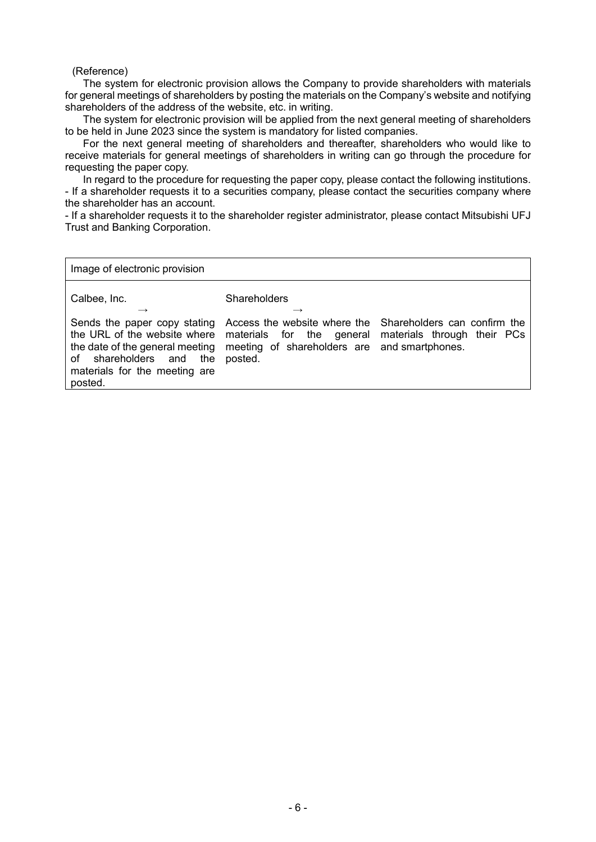#### (Reference)

The system for electronic provision allows the Company to provide shareholders with materials for general meetings of shareholders by posting the materials on the Company's website and notifying shareholders of the address of the website, etc. in writing.

The system for electronic provision will be applied from the next general meeting of shareholders to be held in June 2023 since the system is mandatory for listed companies.

For the next general meeting of shareholders and thereafter, shareholders who would like to receive materials for general meetings of shareholders in writing can go through the procedure for requesting the paper copy.

In regard to the procedure for requesting the paper copy, please contact the following institutions. - If a shareholder requests it to a securities company, please contact the securities company where the shareholder has an account.

- If a shareholder requests it to the shareholder register administrator, please contact Mitsubishi UFJ Trust and Banking Corporation.

Image of electronic provision

posted.

| Calbee, Inc.                                                     | <b>Shareholders</b>                                                                                                                                                                                                                                          |  |
|------------------------------------------------------------------|--------------------------------------------------------------------------------------------------------------------------------------------------------------------------------------------------------------------------------------------------------------|--|
| of shareholders and the posted.<br>materials for the meeting are | Sends the paper copy stating Access the website where the Shareholders can confirm the<br>the URL of the website where materials for the general materials through their PCs<br>the date of the general meeting meeting of shareholders are and smartphones. |  |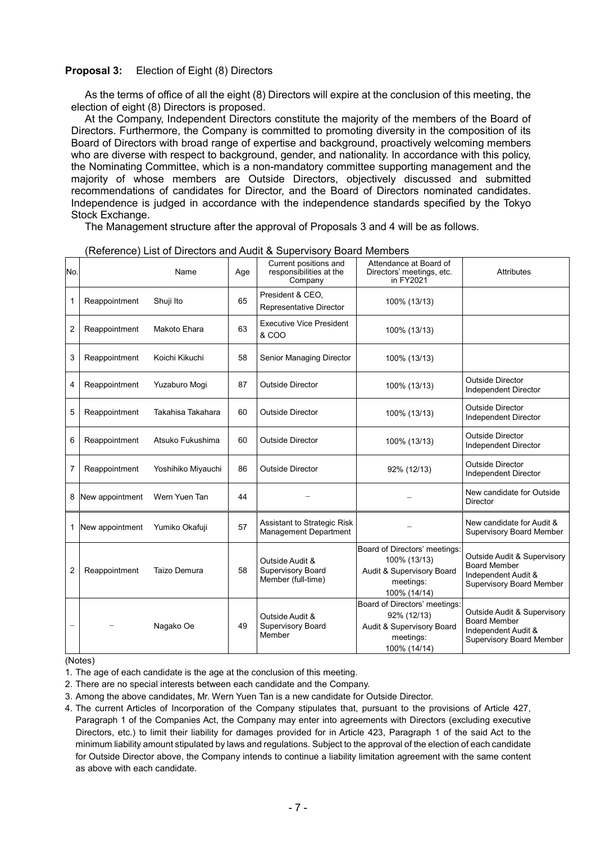#### **Proposal 3:** Election of Eight (8) Directors

As the terms of office of all the eight (8) Directors will expire at the conclusion of this meeting, the election of eight (8) Directors is proposed.

At the Company, Independent Directors constitute the majority of the members of the Board of Directors. Furthermore, the Company is committed to promoting diversity in the composition of its Board of Directors with broad range of expertise and background, proactively welcoming members who are diverse with respect to background, gender, and nationality. In accordance with this policy, the Nominating Committee, which is a non-mandatory committee supporting management and the majority of whose members are Outside Directors, objectively discussed and submitted recommendations of candidates for Director, and the Board of Directors nominated candidates. Independence is judged in accordance with the independence standards specified by the Tokyo Stock Exchange.

The Management structure after the approval of Proposals 3 and 4 will be as follows.

| No. |                 | Name               | Age | Current positions and<br>responsibilities at the<br>Company | Attendance at Board of<br>Directors' meetings, etc.<br>in FY2021                                        | <b>Attributes</b>                                                                                            |
|-----|-----------------|--------------------|-----|-------------------------------------------------------------|---------------------------------------------------------------------------------------------------------|--------------------------------------------------------------------------------------------------------------|
| 1   | Reappointment   | Shuji Ito          | 65  | President & CEO.<br>Representative Director                 | 100% (13/13)                                                                                            |                                                                                                              |
| 2   | Reappointment   | Makoto Ehara       | 63  | <b>Executive Vice President</b><br>& COO                    | 100% (13/13)                                                                                            |                                                                                                              |
| 3   | Reappointment   | Koichi Kikuchi     | 58  | Senior Managing Director                                    | 100% (13/13)                                                                                            |                                                                                                              |
| 4   | Reappointment   | Yuzaburo Mogi      | 87  | <b>Outside Director</b>                                     | 100% (13/13)                                                                                            | <b>Outside Director</b><br>Independent Director                                                              |
| 5   | Reappointment   | Takahisa Takahara  | 60  | <b>Outside Director</b>                                     | 100% (13/13)                                                                                            | <b>Outside Director</b><br>Independent Director                                                              |
| 6   | Reappointment   | Atsuko Fukushima   | 60  | <b>Outside Director</b>                                     | 100% (13/13)                                                                                            | <b>Outside Director</b><br>Independent Director                                                              |
| 7   | Reappointment   | Yoshihiko Miyauchi | 86  | <b>Outside Director</b>                                     | 92% (12/13)                                                                                             | <b>Outside Director</b><br>Independent Director                                                              |
| 8   | New appointment | Wern Yuen Tan      | 44  |                                                             |                                                                                                         | New candidate for Outside<br><b>Director</b>                                                                 |
| 1   | New appointment | Yumiko Okafuji     | 57  | Assistant to Strategic Risk<br>Management Department        |                                                                                                         | New candidate for Audit &<br><b>Supervisory Board Member</b>                                                 |
| 2   | Reappointment   | Taizo Demura       | 58  | Outside Audit &<br>Supervisory Board<br>Member (full-time)  | Board of Directors' meetings:<br>100% (13/13)<br>Audit & Supervisory Board<br>meetings:<br>100% (14/14) | Outside Audit & Supervisory<br><b>Board Member</b><br>Independent Audit &<br><b>Supervisory Board Member</b> |
|     |                 | Nagako Oe          | 49  | Outside Audit &<br><b>Supervisory Board</b><br>Member       | Board of Directors' meetings:<br>92% (12/13)<br>Audit & Supervisory Board<br>meetings:<br>100% (14/14)  | Outside Audit & Supervisory<br><b>Board Member</b><br>Independent Audit &<br><b>Supervisory Board Member</b> |

#### (Reference) List of Directors and Audit & Supervisory Board Members

(Notes)

- 1. The age of each candidate is the age at the conclusion of this meeting.
- 2. There are no special interests between each candidate and the Company.
- 3. Among the above candidates, Mr. Wern Yuen Tan is a new candidate for Outside Director.
- 4. The current Articles of Incorporation of the Company stipulates that, pursuant to the provisions of Article 427, Paragraph 1 of the Companies Act, the Company may enter into agreements with Directors (excluding executive Directors, etc.) to limit their liability for damages provided for in Article 423, Paragraph 1 of the said Act to the minimum liability amount stipulated by laws and regulations. Subject to the approval of the election of each candidate for Outside Director above, the Company intends to continue a liability limitation agreement with the same content as above with each candidate.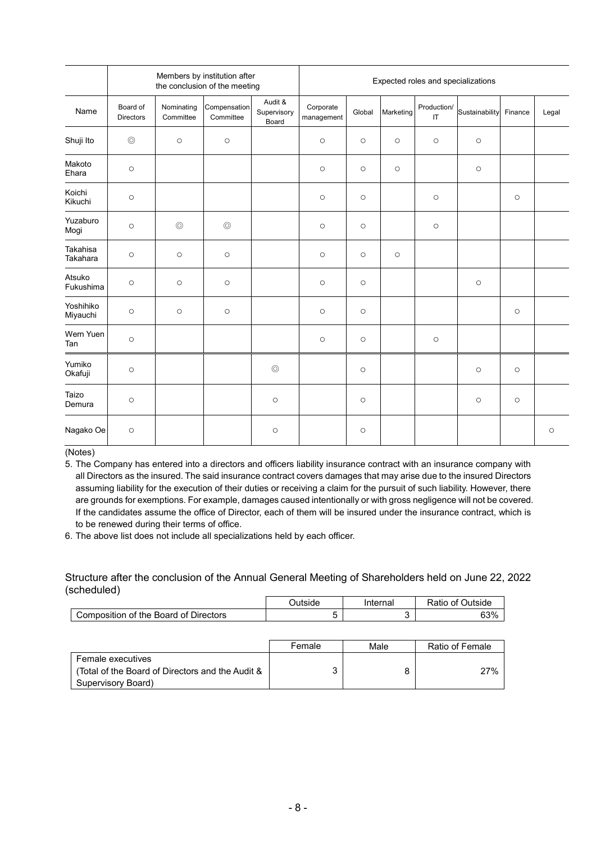|                       | Members by institution after<br>Expected roles and specializations<br>the conclusion of the meeting |                         |                           |                                 |                         |         |                     |                                       |                |         |         |
|-----------------------|-----------------------------------------------------------------------------------------------------|-------------------------|---------------------------|---------------------------------|-------------------------|---------|---------------------|---------------------------------------|----------------|---------|---------|
| Name                  | Board of<br><b>Directors</b>                                                                        | Nominating<br>Committee | Compensation<br>Committee | Audit &<br>Supervisory<br>Board | Corporate<br>management | Global  | Marketing           | Production/<br>$\mathsf{I}\mathsf{T}$ | Sustainability | Finance | Legal   |
| Shuji Ito             | $\circledcirc$                                                                                      | $\circlearrowright$     | $\circ$                   |                                 | $\circ$                 | $\circ$ | $\circlearrowright$ | $\circlearrowright$                   | $\circ$        |         |         |
| Makoto<br>Ehara       | $\circ$                                                                                             |                         |                           |                                 | $\circ$                 | $\circ$ | $\circ$             |                                       | $\circ$        |         |         |
| Koichi<br>Kikuchi     | $\circ$                                                                                             |                         |                           |                                 | $\circ$                 | $\circ$ |                     | $\circ$                               |                | $\circ$ |         |
| Yuzaburo<br>Mogi      | $\circ$                                                                                             | $\circledcirc$          | $\circledcirc$            |                                 | $\circ$                 | $\circ$ |                     | $\circ$                               |                |         |         |
| Takahisa<br>Takahara  | $\circ$                                                                                             | $\circ$                 | $\circ$                   |                                 | $\circ$                 | $\circ$ | $\circ$             |                                       |                |         |         |
| Atsuko<br>Fukushima   | $\circ$                                                                                             | $\circ$                 | $\circ$                   |                                 | $\circ$                 | $\circ$ |                     |                                       | $\circ$        |         |         |
| Yoshihiko<br>Miyauchi | $\circ$                                                                                             | $\circ$                 | $\circ$                   |                                 | $\circ$                 | $\circ$ |                     |                                       |                | $\circ$ |         |
| Wern Yuen<br>Tan      | $\circ$                                                                                             |                         |                           |                                 | $\circ$                 | $\circ$ |                     | $\circ$                               |                |         |         |
| Yumiko<br>Okafuji     | $\circ$                                                                                             |                         |                           | $\circledcirc$                  |                         | $\circ$ |                     |                                       | $\circ$        | $\circ$ |         |
| Taizo<br>Demura       | $\circ$                                                                                             |                         |                           | $\circ$                         |                         | $\circ$ |                     |                                       | $\circ$        | $\circ$ |         |
| Nagako Oe             | $\circ$                                                                                             |                         |                           | $\circ$                         |                         | $\circ$ |                     |                                       |                |         | $\circ$ |

(Notes)

5. The Company has entered into a directors and officers liability insurance contract with an insurance company with all Directors as the insured. The said insurance contract covers damages that may arise due to the insured Directors assuming liability for the execution of their duties or receiving a claim for the pursuit of such liability. However, there are grounds for exemptions. For example, damages caused intentionally or with gross negligence will not be covered. If the candidates assume the office of Director, each of them will be insured under the insurance contract, which is to be renewed during their terms of office.

6. The above list does not include all specializations held by each officer.

Structure after the conclusion of the Annual General Meeting of Shareholders held on June 22, 2022 (scheduled)

|                                       | )utside | Internal | Ratio of v<br>⊃utside |
|---------------------------------------|---------|----------|-----------------------|
| Composition of the Board of Directors |         |          | 63%                   |

|                                                  | Female | Male | Ratio of Female |
|--------------------------------------------------|--------|------|-----------------|
| Female executives                                |        |      |                 |
| (Total of the Board of Directors and the Audit & |        |      | 27%             |
| Supervisory Board)                               |        |      |                 |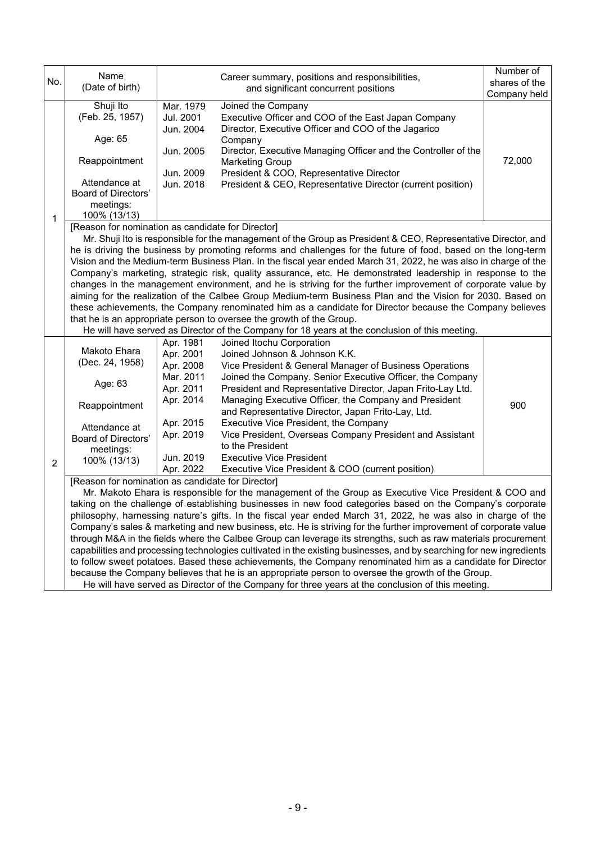|     | Name                                                                                                                                                                                                                       |                        |                                                                                                                      | Number of     |  |  |  |
|-----|----------------------------------------------------------------------------------------------------------------------------------------------------------------------------------------------------------------------------|------------------------|----------------------------------------------------------------------------------------------------------------------|---------------|--|--|--|
| No. | (Date of birth)                                                                                                                                                                                                            |                        | Career summary, positions and responsibilities,<br>and significant concurrent positions                              | shares of the |  |  |  |
|     |                                                                                                                                                                                                                            |                        |                                                                                                                      | Company held  |  |  |  |
|     | Shuji Ito                                                                                                                                                                                                                  | Mar. 1979              | Joined the Company                                                                                                   |               |  |  |  |
|     | (Feb. 25, 1957)                                                                                                                                                                                                            | Jul. 2001              | Executive Officer and COO of the East Japan Company                                                                  |               |  |  |  |
|     |                                                                                                                                                                                                                            | Jun. 2004              | Director, Executive Officer and COO of the Jagarico                                                                  |               |  |  |  |
|     | Age: 65                                                                                                                                                                                                                    |                        | Company                                                                                                              |               |  |  |  |
|     | Reappointment                                                                                                                                                                                                              | Jun. 2005              | Director, Executive Managing Officer and the Controller of the                                                       | 72,000        |  |  |  |
|     |                                                                                                                                                                                                                            | Jun. 2009              | <b>Marketing Group</b><br>President & COO, Representative Director                                                   |               |  |  |  |
|     | Attendance at                                                                                                                                                                                                              | Jun. 2018              | President & CEO, Representative Director (current position)                                                          |               |  |  |  |
|     | Board of Directors'                                                                                                                                                                                                        |                        |                                                                                                                      |               |  |  |  |
|     | meetings:                                                                                                                                                                                                                  |                        |                                                                                                                      |               |  |  |  |
| 1   | 100% (13/13)                                                                                                                                                                                                               |                        |                                                                                                                      |               |  |  |  |
|     | [Reason for nomination as candidate for Director]                                                                                                                                                                          |                        |                                                                                                                      |               |  |  |  |
|     |                                                                                                                                                                                                                            |                        | Mr. Shuji Ito is responsible for the management of the Group as President & CEO, Representative Director, and        |               |  |  |  |
|     |                                                                                                                                                                                                                            |                        | he is driving the business by promoting reforms and challenges for the future of food, based on the long-term        |               |  |  |  |
|     |                                                                                                                                                                                                                            |                        | Vision and the Medium-term Business Plan. In the fiscal year ended March 31, 2022, he was also in charge of the      |               |  |  |  |
|     |                                                                                                                                                                                                                            |                        | Company's marketing, strategic risk, quality assurance, etc. He demonstrated leadership in response to the           |               |  |  |  |
|     |                                                                                                                                                                                                                            |                        | changes in the management environment, and he is striving for the further improvement of corporate value by          |               |  |  |  |
|     |                                                                                                                                                                                                                            |                        | aiming for the realization of the Calbee Group Medium-term Business Plan and the Vision for 2030. Based on           |               |  |  |  |
|     |                                                                                                                                                                                                                            |                        | these achievements, the Company renominated him as a candidate for Director because the Company believes             |               |  |  |  |
|     |                                                                                                                                                                                                                            |                        | that he is an appropriate person to oversee the growth of the Group.                                                 |               |  |  |  |
|     |                                                                                                                                                                                                                            |                        | He will have served as Director of the Company for 18 years at the conclusion of this meeting.                       |               |  |  |  |
|     | Makoto Ehara                                                                                                                                                                                                               | Apr. 1981<br>Apr. 2001 | Joined Itochu Corporation<br>Joined Johnson & Johnson K.K.                                                           |               |  |  |  |
|     | (Dec. 24, 1958)                                                                                                                                                                                                            | Apr. 2008              | Vice President & General Manager of Business Operations                                                              |               |  |  |  |
|     |                                                                                                                                                                                                                            | Mar. 2011              | Joined the Company. Senior Executive Officer, the Company                                                            |               |  |  |  |
|     | Age: 63                                                                                                                                                                                                                    | Apr. 2011              | President and Representative Director, Japan Frito-Lay Ltd.                                                          |               |  |  |  |
|     |                                                                                                                                                                                                                            | Apr. 2014              | Managing Executive Officer, the Company and President                                                                |               |  |  |  |
|     | Reappointment                                                                                                                                                                                                              |                        | and Representative Director, Japan Frito-Lay, Ltd.                                                                   | 900           |  |  |  |
|     |                                                                                                                                                                                                                            | Apr. 2015              | Executive Vice President, the Company                                                                                |               |  |  |  |
|     | Attendance at<br>Board of Directors'                                                                                                                                                                                       | Apr. 2019              | Vice President, Overseas Company President and Assistant                                                             |               |  |  |  |
|     | meetings:                                                                                                                                                                                                                  |                        | to the President                                                                                                     |               |  |  |  |
|     | 100% (13/13)                                                                                                                                                                                                               | Jun. 2019              | <b>Executive Vice President</b>                                                                                      |               |  |  |  |
| 2   |                                                                                                                                                                                                                            | Apr. 2022              | Executive Vice President & COO (current position)                                                                    |               |  |  |  |
|     | [Reason for nomination as candidate for Director]                                                                                                                                                                          |                        |                                                                                                                      |               |  |  |  |
|     |                                                                                                                                                                                                                            |                        | Mr. Makoto Ehara is responsible for the management of the Group as Executive Vice President & COO and                |               |  |  |  |
|     | taking on the challenge of establishing businesses in new food categories based on the Company's corporate<br>philosophy, harnessing nature's gifts. In the fiscal year ended March 31, 2022, he was also in charge of the |                        |                                                                                                                      |               |  |  |  |
|     |                                                                                                                                                                                                                            |                        |                                                                                                                      |               |  |  |  |
|     |                                                                                                                                                                                                                            |                        | Company's sales & marketing and new business, etc. He is striving for the further improvement of corporate value     |               |  |  |  |
|     | through M&A in the fields where the Calbee Group can leverage its strengths, such as raw materials procurement                                                                                                             |                        |                                                                                                                      |               |  |  |  |
|     |                                                                                                                                                                                                                            |                        | capabilities and processing technologies cultivated in the existing businesses, and by searching for new ingredients |               |  |  |  |
|     |                                                                                                                                                                                                                            |                        | to follow sweet potatoes. Based these achievements, the Company renominated him as a candidate for Director          |               |  |  |  |
|     |                                                                                                                                                                                                                            |                        | because the Company believes that he is an appropriate person to oversee the growth of the Group.                    |               |  |  |  |
|     | He will have served as Director of the Company for three years at the conclusion of this meeting.                                                                                                                          |                        |                                                                                                                      |               |  |  |  |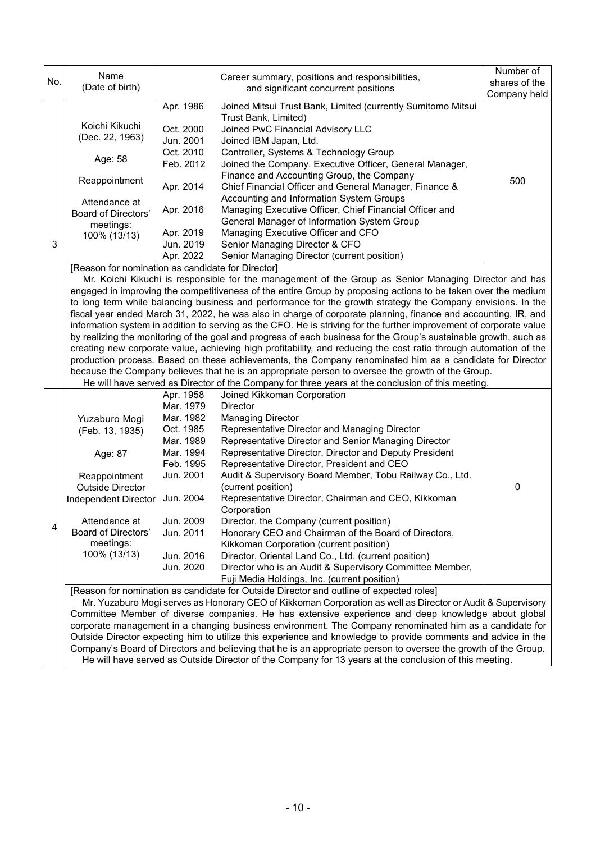|     | Name                                                                                                   |                        | Career summary, positions and responsibilities,                                                                     | Number of     |  |  |  |
|-----|--------------------------------------------------------------------------------------------------------|------------------------|---------------------------------------------------------------------------------------------------------------------|---------------|--|--|--|
| No. | (Date of birth)                                                                                        |                        | and significant concurrent positions                                                                                | shares of the |  |  |  |
|     |                                                                                                        |                        |                                                                                                                     | Company held  |  |  |  |
|     |                                                                                                        | Apr. 1986              | Joined Mitsui Trust Bank, Limited (currently Sumitomo Mitsui                                                        |               |  |  |  |
|     | Koichi Kikuchi                                                                                         |                        | Trust Bank, Limited)                                                                                                |               |  |  |  |
|     | (Dec. 22, 1963)                                                                                        | Oct. 2000              | Joined PwC Financial Advisory LLC                                                                                   |               |  |  |  |
|     |                                                                                                        | Jun. 2001              | Joined IBM Japan, Ltd.                                                                                              |               |  |  |  |
|     | Age: 58                                                                                                | Oct. 2010              | Controller, Systems & Technology Group                                                                              |               |  |  |  |
|     |                                                                                                        | Feb. 2012              | Joined the Company. Executive Officer, General Manager,                                                             |               |  |  |  |
|     | Reappointment                                                                                          | Apr. 2014              | Finance and Accounting Group, the Company<br>Chief Financial Officer and General Manager, Finance &                 | 500           |  |  |  |
|     |                                                                                                        |                        | Accounting and Information System Groups                                                                            |               |  |  |  |
|     | Attendance at                                                                                          | Apr. 2016              | Managing Executive Officer, Chief Financial Officer and                                                             |               |  |  |  |
|     | Board of Directors'                                                                                    |                        | General Manager of Information System Group                                                                         |               |  |  |  |
|     | meetings:                                                                                              | Apr. 2019              | Managing Executive Officer and CFO                                                                                  |               |  |  |  |
| 3   | 100% (13/13)                                                                                           | Jun. 2019              | Senior Managing Director & CFO                                                                                      |               |  |  |  |
|     |                                                                                                        | Apr. 2022              | Senior Managing Director (current position)                                                                         |               |  |  |  |
|     | [Reason for nomination as candidate for Director]                                                      |                        |                                                                                                                     |               |  |  |  |
|     |                                                                                                        |                        | Mr. Koichi Kikuchi is responsible for the management of the Group as Senior Managing Director and has               |               |  |  |  |
|     |                                                                                                        |                        | engaged in improving the competitiveness of the entire Group by proposing actions to be taken over the medium       |               |  |  |  |
|     |                                                                                                        |                        | to long term while balancing business and performance for the growth strategy the Company envisions. In the         |               |  |  |  |
|     |                                                                                                        |                        | fiscal year ended March 31, 2022, he was also in charge of corporate planning, finance and accounting, IR, and      |               |  |  |  |
|     |                                                                                                        |                        | information system in addition to serving as the CFO. He is striving for the further improvement of corporate value |               |  |  |  |
|     |                                                                                                        |                        | by realizing the monitoring of the goal and progress of each business for the Group's sustainable growth, such as   |               |  |  |  |
|     |                                                                                                        |                        | creating new corporate value, achieving high profitability, and reducing the cost ratio through automation of the   |               |  |  |  |
|     |                                                                                                        |                        | production process. Based on these achievements, the Company renominated him as a candidate for Director            |               |  |  |  |
|     |                                                                                                        |                        | because the Company believes that he is an appropriate person to oversee the growth of the Group.                   |               |  |  |  |
|     |                                                                                                        |                        | He will have served as Director of the Company for three years at the conclusion of this meeting.                   |               |  |  |  |
|     |                                                                                                        | Apr. 1958              | Joined Kikkoman Corporation                                                                                         |               |  |  |  |
|     |                                                                                                        | Mar. 1979              | <b>Director</b>                                                                                                     |               |  |  |  |
|     | Yuzaburo Mogi                                                                                          | Mar. 1982              | <b>Managing Director</b>                                                                                            |               |  |  |  |
|     | (Feb. 13, 1935)                                                                                        | Oct. 1985              | Representative Director and Managing Director                                                                       |               |  |  |  |
|     |                                                                                                        | Mar. 1989              | Representative Director and Senior Managing Director                                                                |               |  |  |  |
|     | Age: 87                                                                                                | Mar. 1994<br>Feb. 1995 | Representative Director, Director and Deputy President                                                              |               |  |  |  |
|     |                                                                                                        | Jun. 2001              | Representative Director, President and CEO<br>Audit & Supervisory Board Member, Tobu Railway Co., Ltd.              |               |  |  |  |
|     | Reappointment<br><b>Outside Director</b>                                                               |                        | (current position)                                                                                                  | 0             |  |  |  |
|     | Independent Director                                                                                   | Jun. 2004              | Representative Director, Chairman and CEO, Kikkoman                                                                 |               |  |  |  |
|     |                                                                                                        |                        | Corporation                                                                                                         |               |  |  |  |
|     | Attendance at                                                                                          | Jun. 2009              | Director, the Company (current position)                                                                            |               |  |  |  |
| 4   | Board of Directors'                                                                                    | Jun. 2011              | Honorary CEO and Chairman of the Board of Directors,                                                                |               |  |  |  |
|     | meetings:                                                                                              |                        | Kikkoman Corporation (current position)                                                                             |               |  |  |  |
|     | 100% (13/13)                                                                                           | Jun. 2016              | Director, Oriental Land Co., Ltd. (current position)                                                                |               |  |  |  |
|     |                                                                                                        | Jun. 2020              | Director who is an Audit & Supervisory Committee Member,                                                            |               |  |  |  |
|     |                                                                                                        |                        | Fuji Media Holdings, Inc. (current position)                                                                        |               |  |  |  |
|     |                                                                                                        |                        | [Reason for nomination as candidate for Outside Director and outline of expected roles]                             |               |  |  |  |
|     |                                                                                                        |                        | Mr. Yuzaburo Mogi serves as Honorary CEO of Kikkoman Corporation as well as Director or Audit & Supervisory         |               |  |  |  |
|     |                                                                                                        |                        | Committee Member of diverse companies. He has extensive experience and deep knowledge about global                  |               |  |  |  |
|     |                                                                                                        |                        | corporate management in a changing business environment. The Company renominated him as a candidate for             |               |  |  |  |
|     |                                                                                                        |                        | Outside Director expecting him to utilize this experience and knowledge to provide comments and advice in the       |               |  |  |  |
|     |                                                                                                        |                        | Company's Board of Directors and believing that he is an appropriate person to oversee the growth of the Group.     |               |  |  |  |
|     | He will have served as Outside Director of the Company for 13 years at the conclusion of this meeting. |                        |                                                                                                                     |               |  |  |  |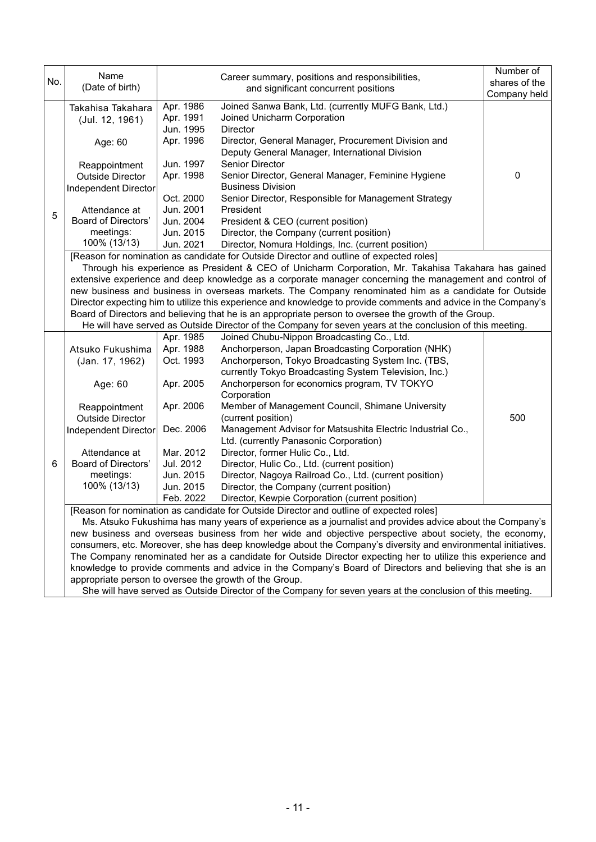| No. | Name<br>(Date of birth)                                                                                                                                              |                        | Career summary, positions and responsibilities,<br>and significant concurrent positions                                                                                                                                       | Number of<br>shares of the |  |  |  |
|-----|----------------------------------------------------------------------------------------------------------------------------------------------------------------------|------------------------|-------------------------------------------------------------------------------------------------------------------------------------------------------------------------------------------------------------------------------|----------------------------|--|--|--|
|     |                                                                                                                                                                      |                        |                                                                                                                                                                                                                               | Company held               |  |  |  |
|     | Takahisa Takahara<br>(Jul. 12, 1961)                                                                                                                                 | Apr. 1986<br>Apr. 1991 | Joined Sanwa Bank, Ltd. (currently MUFG Bank, Ltd.)<br>Joined Unicharm Corporation                                                                                                                                            |                            |  |  |  |
|     |                                                                                                                                                                      | Jun. 1995              | <b>Director</b>                                                                                                                                                                                                               |                            |  |  |  |
|     | Age: 60                                                                                                                                                              | Apr. 1996              | Director, General Manager, Procurement Division and                                                                                                                                                                           |                            |  |  |  |
|     |                                                                                                                                                                      |                        | Deputy General Manager, International Division                                                                                                                                                                                |                            |  |  |  |
|     | Reappointment                                                                                                                                                        | Jun. 1997              | Senior Director                                                                                                                                                                                                               |                            |  |  |  |
|     | <b>Outside Director</b>                                                                                                                                              | Apr. 1998              | Senior Director, General Manager, Feminine Hygiene                                                                                                                                                                            | 0                          |  |  |  |
|     | Independent Director                                                                                                                                                 |                        | <b>Business Division</b>                                                                                                                                                                                                      |                            |  |  |  |
|     |                                                                                                                                                                      | Oct. 2000<br>Jun. 2001 | Senior Director, Responsible for Management Strategy<br>President                                                                                                                                                             |                            |  |  |  |
| 5   | Attendance at<br><b>Board of Directors'</b>                                                                                                                          | Jun. 2004              | President & CEO (current position)                                                                                                                                                                                            |                            |  |  |  |
|     | meetings:                                                                                                                                                            | Jun. 2015              | Director, the Company (current position)                                                                                                                                                                                      |                            |  |  |  |
|     | 100% (13/13)                                                                                                                                                         | Jun. 2021              | Director, Nomura Holdings, Inc. (current position)                                                                                                                                                                            |                            |  |  |  |
|     |                                                                                                                                                                      |                        | [Reason for nomination as candidate for Outside Director and outline of expected roles]                                                                                                                                       |                            |  |  |  |
|     |                                                                                                                                                                      |                        | Through his experience as President & CEO of Unicharm Corporation, Mr. Takahisa Takahara has gained                                                                                                                           |                            |  |  |  |
|     |                                                                                                                                                                      |                        | extensive experience and deep knowledge as a corporate manager concerning the management and control of                                                                                                                       |                            |  |  |  |
|     |                                                                                                                                                                      |                        | new business and business in overseas markets. The Company renominated him as a candidate for Outside                                                                                                                         |                            |  |  |  |
|     |                                                                                                                                                                      |                        | Director expecting him to utilize this experience and knowledge to provide comments and advice in the Company's                                                                                                               |                            |  |  |  |
|     |                                                                                                                                                                      |                        | Board of Directors and believing that he is an appropriate person to oversee the growth of the Group.                                                                                                                         |                            |  |  |  |
|     |                                                                                                                                                                      |                        | He will have served as Outside Director of the Company for seven years at the conclusion of this meeting.                                                                                                                     |                            |  |  |  |
|     |                                                                                                                                                                      | Apr. 1985              | Joined Chubu-Nippon Broadcasting Co., Ltd.                                                                                                                                                                                    |                            |  |  |  |
|     | Atsuko Fukushima                                                                                                                                                     | Apr. 1988              | Anchorperson, Japan Broadcasting Corporation (NHK)                                                                                                                                                                            |                            |  |  |  |
|     | (Jan. 17, 1962)                                                                                                                                                      | Oct. 1993              | Anchorperson, Tokyo Broadcasting System Inc. (TBS,                                                                                                                                                                            |                            |  |  |  |
|     |                                                                                                                                                                      | Apr. 2005              | currently Tokyo Broadcasting System Television, Inc.)<br>Anchorperson for economics program, TV TOKYO                                                                                                                         |                            |  |  |  |
|     | Age: 60                                                                                                                                                              |                        | Corporation                                                                                                                                                                                                                   |                            |  |  |  |
|     | Reappointment                                                                                                                                                        | Apr. 2006              | Member of Management Council, Shimane University                                                                                                                                                                              |                            |  |  |  |
|     | <b>Outside Director</b>                                                                                                                                              |                        | (current position)                                                                                                                                                                                                            | 500                        |  |  |  |
|     | Independent Director                                                                                                                                                 | Dec. 2006              | Management Advisor for Matsushita Electric Industrial Co.,                                                                                                                                                                    |                            |  |  |  |
|     |                                                                                                                                                                      |                        | Ltd. (currently Panasonic Corporation)                                                                                                                                                                                        |                            |  |  |  |
|     | Attendance at                                                                                                                                                        | Mar. 2012              | Director, former Hulic Co., Ltd.                                                                                                                                                                                              |                            |  |  |  |
| 6   | Board of Directors'                                                                                                                                                  | Jul. 2012              | Director, Hulic Co., Ltd. (current position)                                                                                                                                                                                  |                            |  |  |  |
|     | meetings:                                                                                                                                                            | Jun. 2015              | Director, Nagoya Railroad Co., Ltd. (current position)                                                                                                                                                                        |                            |  |  |  |
|     | 100% (13/13)                                                                                                                                                         | Jun. 2015              | Director, the Company (current position)                                                                                                                                                                                      |                            |  |  |  |
|     |                                                                                                                                                                      | Feb. 2022              | Director, Kewpie Corporation (current position)                                                                                                                                                                               |                            |  |  |  |
|     |                                                                                                                                                                      |                        | [Reason for nomination as candidate for Outside Director and outline of expected roles]                                                                                                                                       |                            |  |  |  |
|     |                                                                                                                                                                      |                        | Ms. Atsuko Fukushima has many years of experience as a journalist and provides advice about the Company's                                                                                                                     |                            |  |  |  |
|     |                                                                                                                                                                      |                        | new business and overseas business from her wide and objective perspective about society, the economy,                                                                                                                        |                            |  |  |  |
|     |                                                                                                                                                                      |                        | consumers, etc. Moreover, she has deep knowledge about the Company's diversity and environmental initiatives.<br>The Company renominated her as a candidate for Outside Director expecting her to utilize this experience and |                            |  |  |  |
|     |                                                                                                                                                                      |                        | knowledge to provide comments and advice in the Company's Board of Directors and believing that she is an                                                                                                                     |                            |  |  |  |
|     |                                                                                                                                                                      |                        |                                                                                                                                                                                                                               |                            |  |  |  |
|     | appropriate person to oversee the growth of the Group.<br>She will have served as Outside Director of the Company for seven years at the conclusion of this meeting. |                        |                                                                                                                                                                                                                               |                            |  |  |  |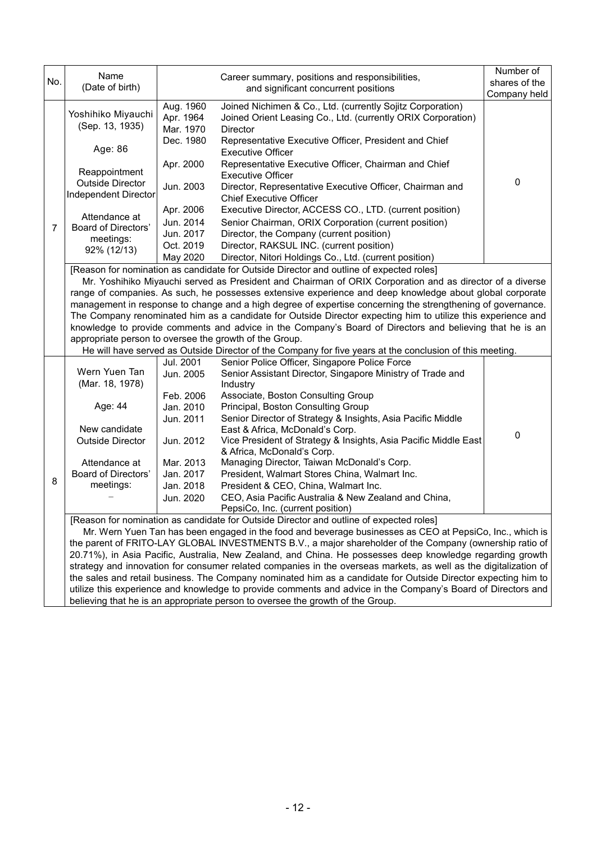| No. | Name<br>(Date of birth)                                                                                                                                                                                                                                                                                                                                                                                                                                                                                                                                                                                                                                                                                                                                                                                                          |                                     | Career summary, positions and responsibilities,<br>and significant concurrent positions                                                                                                                                       | Number of<br>shares of the |  |  |
|-----|----------------------------------------------------------------------------------------------------------------------------------------------------------------------------------------------------------------------------------------------------------------------------------------------------------------------------------------------------------------------------------------------------------------------------------------------------------------------------------------------------------------------------------------------------------------------------------------------------------------------------------------------------------------------------------------------------------------------------------------------------------------------------------------------------------------------------------|-------------------------------------|-------------------------------------------------------------------------------------------------------------------------------------------------------------------------------------------------------------------------------|----------------------------|--|--|
|     |                                                                                                                                                                                                                                                                                                                                                                                                                                                                                                                                                                                                                                                                                                                                                                                                                                  |                                     |                                                                                                                                                                                                                               | Company held               |  |  |
|     | Yoshihiko Miyauchi<br>(Sep. 13, 1935)                                                                                                                                                                                                                                                                                                                                                                                                                                                                                                                                                                                                                                                                                                                                                                                            | Aug. 1960<br>Apr. 1964<br>Mar. 1970 | Joined Nichimen & Co., Ltd. (currently Sojitz Corporation)<br>Joined Orient Leasing Co., Ltd. (currently ORIX Corporation)<br>Director                                                                                        |                            |  |  |
|     | Age: 86                                                                                                                                                                                                                                                                                                                                                                                                                                                                                                                                                                                                                                                                                                                                                                                                                          | Dec. 1980                           | Representative Executive Officer, President and Chief<br><b>Executive Officer</b>                                                                                                                                             |                            |  |  |
|     | Reappointment                                                                                                                                                                                                                                                                                                                                                                                                                                                                                                                                                                                                                                                                                                                                                                                                                    | Apr. 2000                           | Representative Executive Officer, Chairman and Chief<br><b>Executive Officer</b>                                                                                                                                              |                            |  |  |
|     | <b>Outside Director</b><br>Independent Director                                                                                                                                                                                                                                                                                                                                                                                                                                                                                                                                                                                                                                                                                                                                                                                  | Jun. 2003                           | Director, Representative Executive Officer, Chairman and<br><b>Chief Executive Officer</b>                                                                                                                                    | 0                          |  |  |
|     |                                                                                                                                                                                                                                                                                                                                                                                                                                                                                                                                                                                                                                                                                                                                                                                                                                  | Apr. 2006                           | Executive Director, ACCESS CO., LTD. (current position)                                                                                                                                                                       |                            |  |  |
|     | Attendance at                                                                                                                                                                                                                                                                                                                                                                                                                                                                                                                                                                                                                                                                                                                                                                                                                    | Jun. 2014                           | Senior Chairman, ORIX Corporation (current position)                                                                                                                                                                          |                            |  |  |
| 7   | Board of Directors'<br>meetings:                                                                                                                                                                                                                                                                                                                                                                                                                                                                                                                                                                                                                                                                                                                                                                                                 | Jun. 2017                           | Director, the Company (current position)                                                                                                                                                                                      |                            |  |  |
|     | 92% (12/13)                                                                                                                                                                                                                                                                                                                                                                                                                                                                                                                                                                                                                                                                                                                                                                                                                      | Oct. 2019                           | Director, RAKSUL INC. (current position)                                                                                                                                                                                      |                            |  |  |
|     |                                                                                                                                                                                                                                                                                                                                                                                                                                                                                                                                                                                                                                                                                                                                                                                                                                  | May 2020                            | Director, Nitori Holdings Co., Ltd. (current position)                                                                                                                                                                        |                            |  |  |
|     | [Reason for nomination as candidate for Outside Director and outline of expected roles]<br>Mr. Yoshihiko Miyauchi served as President and Chairman of ORIX Corporation and as director of a diverse<br>range of companies. As such, he possesses extensive experience and deep knowledge about global corporate<br>management in response to change and a high degree of expertise concerning the strengthening of governance.<br>The Company renominated him as a candidate for Outside Director expecting him to utilize this experience and<br>knowledge to provide comments and advice in the Company's Board of Directors and believing that he is an<br>appropriate person to oversee the growth of the Group.<br>He will have served as Outside Director of the Company for five years at the conclusion of this meeting. |                                     |                                                                                                                                                                                                                               |                            |  |  |
|     |                                                                                                                                                                                                                                                                                                                                                                                                                                                                                                                                                                                                                                                                                                                                                                                                                                  | Jul. 2001                           | Senior Police Officer, Singapore Police Force                                                                                                                                                                                 |                            |  |  |
|     | Wern Yuen Tan                                                                                                                                                                                                                                                                                                                                                                                                                                                                                                                                                                                                                                                                                                                                                                                                                    | Jun. 2005                           | Senior Assistant Director, Singapore Ministry of Trade and                                                                                                                                                                    |                            |  |  |
|     | (Mar. 18, 1978)                                                                                                                                                                                                                                                                                                                                                                                                                                                                                                                                                                                                                                                                                                                                                                                                                  |                                     | Industry                                                                                                                                                                                                                      |                            |  |  |
|     |                                                                                                                                                                                                                                                                                                                                                                                                                                                                                                                                                                                                                                                                                                                                                                                                                                  | Feb. 2006                           | Associate, Boston Consulting Group                                                                                                                                                                                            |                            |  |  |
|     | Age: 44                                                                                                                                                                                                                                                                                                                                                                                                                                                                                                                                                                                                                                                                                                                                                                                                                          | Jan. 2010                           | Principal, Boston Consulting Group                                                                                                                                                                                            |                            |  |  |
|     | New candidate                                                                                                                                                                                                                                                                                                                                                                                                                                                                                                                                                                                                                                                                                                                                                                                                                    | Jun. 2011                           | Senior Director of Strategy & Insights, Asia Pacific Middle<br>East & Africa, McDonald's Corp.                                                                                                                                |                            |  |  |
|     | <b>Outside Director</b>                                                                                                                                                                                                                                                                                                                                                                                                                                                                                                                                                                                                                                                                                                                                                                                                          | Jun. 2012                           | Vice President of Strategy & Insights, Asia Pacific Middle East                                                                                                                                                               | 0                          |  |  |
|     |                                                                                                                                                                                                                                                                                                                                                                                                                                                                                                                                                                                                                                                                                                                                                                                                                                  |                                     | & Africa, McDonald's Corp.                                                                                                                                                                                                    |                            |  |  |
|     | Attendance at                                                                                                                                                                                                                                                                                                                                                                                                                                                                                                                                                                                                                                                                                                                                                                                                                    | Mar. 2013                           | Managing Director, Taiwan McDonald's Corp.                                                                                                                                                                                    |                            |  |  |
|     | Board of Directors'                                                                                                                                                                                                                                                                                                                                                                                                                                                                                                                                                                                                                                                                                                                                                                                                              | Jan. 2017                           | President, Walmart Stores China, Walmart Inc.                                                                                                                                                                                 |                            |  |  |
| 8   | meetings:                                                                                                                                                                                                                                                                                                                                                                                                                                                                                                                                                                                                                                                                                                                                                                                                                        | Jan. 2018                           | President & CEO, China, Walmart Inc.                                                                                                                                                                                          |                            |  |  |
|     |                                                                                                                                                                                                                                                                                                                                                                                                                                                                                                                                                                                                                                                                                                                                                                                                                                  | Jun. 2020                           | CEO, Asia Pacific Australia & New Zealand and China,                                                                                                                                                                          |                            |  |  |
|     |                                                                                                                                                                                                                                                                                                                                                                                                                                                                                                                                                                                                                                                                                                                                                                                                                                  |                                     | PepsiCo, Inc. (current position)                                                                                                                                                                                              |                            |  |  |
|     |                                                                                                                                                                                                                                                                                                                                                                                                                                                                                                                                                                                                                                                                                                                                                                                                                                  |                                     | [Reason for nomination as candidate for Outside Director and outline of expected roles]                                                                                                                                       |                            |  |  |
|     |                                                                                                                                                                                                                                                                                                                                                                                                                                                                                                                                                                                                                                                                                                                                                                                                                                  |                                     | Mr. Wern Yuen Tan has been engaged in the food and beverage businesses as CEO at PepsiCo, Inc., which is                                                                                                                      |                            |  |  |
|     |                                                                                                                                                                                                                                                                                                                                                                                                                                                                                                                                                                                                                                                                                                                                                                                                                                  |                                     | the parent of FRITO-LAY GLOBAL INVESTMENTS B.V., a major shareholder of the Company (ownership ratio of                                                                                                                       |                            |  |  |
|     |                                                                                                                                                                                                                                                                                                                                                                                                                                                                                                                                                                                                                                                                                                                                                                                                                                  |                                     | 20.71%), in Asia Pacific, Australia, New Zealand, and China. He possesses deep knowledge regarding growth                                                                                                                     |                            |  |  |
|     |                                                                                                                                                                                                                                                                                                                                                                                                                                                                                                                                                                                                                                                                                                                                                                                                                                  |                                     | strategy and innovation for consumer related companies in the overseas markets, as well as the digitalization of                                                                                                              |                            |  |  |
|     |                                                                                                                                                                                                                                                                                                                                                                                                                                                                                                                                                                                                                                                                                                                                                                                                                                  |                                     | the sales and retail business. The Company nominated him as a candidate for Outside Director expecting him to<br>utilize this experience and knowledge to provide comments and advice in the Company's Board of Directors and |                            |  |  |
|     |                                                                                                                                                                                                                                                                                                                                                                                                                                                                                                                                                                                                                                                                                                                                                                                                                                  |                                     | believing that he is an appropriate person to oversee the growth of the Group.                                                                                                                                                |                            |  |  |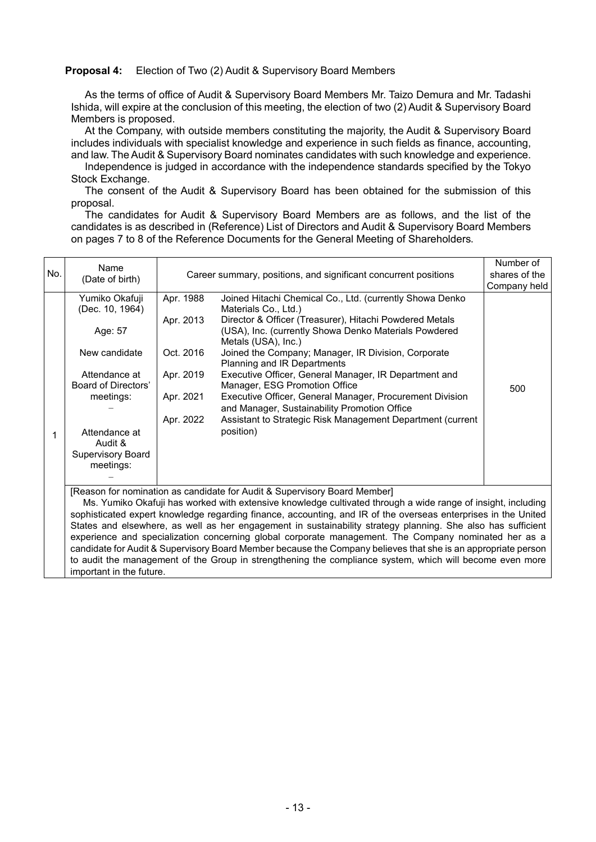#### **Proposal 4:** Election of Two (2) Audit & Supervisory Board Members

As the terms of office of Audit & Supervisory Board Members Mr. Taizo Demura and Mr. Tadashi Ishida, will expire at the conclusion of this meeting, the election of two (2) Audit & Supervisory Board Members is proposed.

At the Company, with outside members constituting the majority, the Audit & Supervisory Board includes individuals with specialist knowledge and experience in such fields as finance, accounting, and law. The Audit & Supervisory Board nominates candidates with such knowledge and experience.

Independence is judged in accordance with the independence standards specified by the Tokyo Stock Exchange.

The consent of the Audit & Supervisory Board has been obtained for the submission of this proposal.

The candidates for Audit & Supervisory Board Members are as follows, and the list of the candidates is as described in (Reference) List of Directors and Audit & Supervisory Board Members on pages 7 to 8 of the Reference Documents for the General Meeting of Shareholders.

| No. | Name                                                                                                                                                                                                                                                                                                                                                                                                                                                                                                                                | Career summary, positions, and significant concurrent positions            |                                                                                                                                                                                                                                                                                                                                                                                                                                                                                                                                                                                                    | Number of<br>shares of the |
|-----|-------------------------------------------------------------------------------------------------------------------------------------------------------------------------------------------------------------------------------------------------------------------------------------------------------------------------------------------------------------------------------------------------------------------------------------------------------------------------------------------------------------------------------------|----------------------------------------------------------------------------|----------------------------------------------------------------------------------------------------------------------------------------------------------------------------------------------------------------------------------------------------------------------------------------------------------------------------------------------------------------------------------------------------------------------------------------------------------------------------------------------------------------------------------------------------------------------------------------------------|----------------------------|
|     | (Date of birth)                                                                                                                                                                                                                                                                                                                                                                                                                                                                                                                     |                                                                            | Company held                                                                                                                                                                                                                                                                                                                                                                                                                                                                                                                                                                                       |                            |
| 1   | Yumiko Okafuji<br>(Dec. 10, 1964)<br>Age: 57<br>New candidate<br>Attendance at<br>Board of Directors'<br>meetings:<br>Attendance at<br>Audit &<br><b>Supervisory Board</b><br>meetings:                                                                                                                                                                                                                                                                                                                                             | Apr. 1988<br>Apr. 2013<br>Oct. 2016<br>Apr. 2019<br>Apr. 2021<br>Apr. 2022 | Joined Hitachi Chemical Co., Ltd. (currently Showa Denko<br>Materials Co., Ltd.)<br>Director & Officer (Treasurer), Hitachi Powdered Metals<br>(USA), Inc. (currently Showa Denko Materials Powdered<br>Metals (USA), Inc.)<br>Joined the Company; Manager, IR Division, Corporate<br>Planning and IR Departments<br>Executive Officer, General Manager, IR Department and<br>Manager, ESG Promotion Office<br>Executive Officer, General Manager, Procurement Division<br>and Manager, Sustainability Promotion Office<br>Assistant to Strategic Risk Management Department (current<br>position) | 500                        |
|     | [Reason for nomination as candidate for Audit & Supervisory Board Member]<br>Ms. Yumiko Okafuji has worked with extensive knowledge cultivated through a wide range of insight, including<br>sophisticated expert knowledge regarding finance, accounting, and IR of the overseas enterprises in the United<br>States and elsewhere, as well as her engagement in sustainability strategy planning. She also has sufficient<br>experience and specialization concerning global corporate management. The Company nominated her as a |                                                                            |                                                                                                                                                                                                                                                                                                                                                                                                                                                                                                                                                                                                    |                            |
|     | candidate for Audit & Supervisory Board Member because the Company believes that she is an appropriate person                                                                                                                                                                                                                                                                                                                                                                                                                       |                                                                            |                                                                                                                                                                                                                                                                                                                                                                                                                                                                                                                                                                                                    |                            |

to audit the management of the Group in strengthening the compliance system, which will become even more important in the future.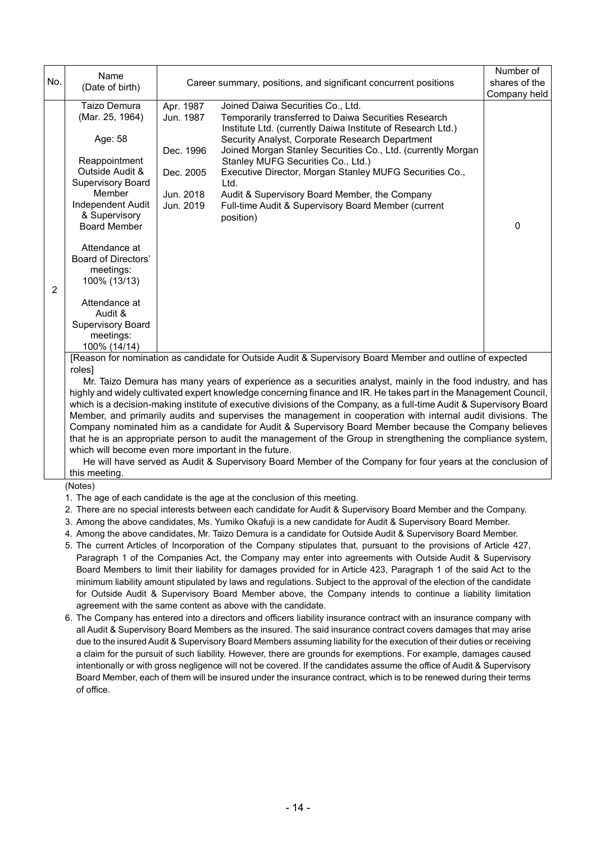| No.            | Name<br>(Date of birth)                                                                                                                                                                                                                                                                                                                                                                                                                                                                                                                                                                                                                                                                                                                                                                                                                                                                                                                                                                                          |                                                                            | Career summary, positions, and significant concurrent positions                                                                                                                                                                                                                                                                                                                                                                                                                                           | Number of<br>shares of the<br>Company held |  |
|----------------|------------------------------------------------------------------------------------------------------------------------------------------------------------------------------------------------------------------------------------------------------------------------------------------------------------------------------------------------------------------------------------------------------------------------------------------------------------------------------------------------------------------------------------------------------------------------------------------------------------------------------------------------------------------------------------------------------------------------------------------------------------------------------------------------------------------------------------------------------------------------------------------------------------------------------------------------------------------------------------------------------------------|----------------------------------------------------------------------------|-----------------------------------------------------------------------------------------------------------------------------------------------------------------------------------------------------------------------------------------------------------------------------------------------------------------------------------------------------------------------------------------------------------------------------------------------------------------------------------------------------------|--------------------------------------------|--|
| $\overline{c}$ | Taizo Demura<br>(Mar. 25, 1964)<br>Age: 58<br>Reappointment<br>Outside Audit &<br><b>Supervisory Board</b><br>Member<br>Independent Audit<br>& Supervisory<br><b>Board Member</b><br>Attendance at<br><b>Board of Directors'</b><br>meetings:<br>100% (13/13)<br>Attendance at<br>Audit &<br><b>Supervisory Board</b><br>meetings:<br>100% (14/14)                                                                                                                                                                                                                                                                                                                                                                                                                                                                                                                                                                                                                                                               | Apr. 1987<br>Jun. 1987<br>Dec. 1996<br>Dec. 2005<br>Jun. 2018<br>Jun. 2019 | Joined Daiwa Securities Co., Ltd.<br>Temporarily transferred to Daiwa Securities Research<br>Institute Ltd. (currently Daiwa Institute of Research Ltd.)<br>Security Analyst, Corporate Research Department<br>Joined Morgan Stanley Securities Co., Ltd. (currently Morgan<br>Stanley MUFG Securities Co., Ltd.)<br>Executive Director, Morgan Stanley MUFG Securities Co.,<br>Ltd.<br>Audit & Supervisory Board Member, the Company<br>Full-time Audit & Supervisory Board Member (current<br>position) | 0                                          |  |
|                | [Reason for nomination as candidate for Outside Audit & Supervisory Board Member and outline of expected<br>roles]<br>Mr. Taizo Demura has many years of experience as a securities analyst, mainly in the food industry, and has<br>highly and widely cultivated expert knowledge concerning finance and IR. He takes part in the Management Council,<br>which is a decision-making institute of executive divisions of the Company, as a full-time Audit & Supervisory Board<br>Member, and primarily audits and supervises the management in cooperation with internal audit divisions. The<br>Company nominated him as a candidate for Audit & Supervisory Board Member because the Company believes<br>that he is an appropriate person to audit the management of the Group in strengthening the compliance system,<br>which will become even more important in the future.<br>He will have served as Audit & Supervisory Board Member of the Company for four years at the conclusion of<br>this meeting. |                                                                            |                                                                                                                                                                                                                                                                                                                                                                                                                                                                                                           |                                            |  |
|                | (Notes)<br>1. The age of each candidate is the age at the conclusion of this meeting.                                                                                                                                                                                                                                                                                                                                                                                                                                                                                                                                                                                                                                                                                                                                                                                                                                                                                                                            |                                                                            |                                                                                                                                                                                                                                                                                                                                                                                                                                                                                                           |                                            |  |
|                | 2. There are no special interests between each candidate for Audit & Supervisory Board Member and the Company.<br>3. Among the above candidates, Ms. Yumiko Okafuji is a new candidate for Audit & Supervisory Board Member.                                                                                                                                                                                                                                                                                                                                                                                                                                                                                                                                                                                                                                                                                                                                                                                     |                                                                            |                                                                                                                                                                                                                                                                                                                                                                                                                                                                                                           |                                            |  |

- 4. Among the above candidates, Mr. Taizo Demura is a candidate for Outside Audit & Supervisory Board Member.
- 5. The current Articles of Incorporation of the Company stipulates that, pursuant to the provisions of Article 427, Paragraph 1 of the Companies Act, the Company may enter into agreements with Outside Audit & Supervisory Board Members to limit their liability for damages provided for in Article 423, Paragraph 1 of the said Act to the minimum liability amount stipulated by laws and regulations. Subject to the approval of the election of the candidate for Outside Audit & Supervisory Board Member above, the Company intends to continue a liability limitation agreement with the same content as above with the candidate.
- 6. The Company has entered into a directors and officers liability insurance contract with an insurance company with all Audit & Supervisory Board Members as the insured. The said insurance contract covers damages that may arise due to the insured Audit & Supervisory Board Members assuming liability for the execution of their duties or receiving a claim for the pursuit of such liability. However, there are grounds for exemptions. For example, damages caused intentionally or with gross negligence will not be covered. If the candidates assume the office of Audit & Supervisory Board Member, each of them will be insured under the insurance contract, which is to be renewed during their terms of office.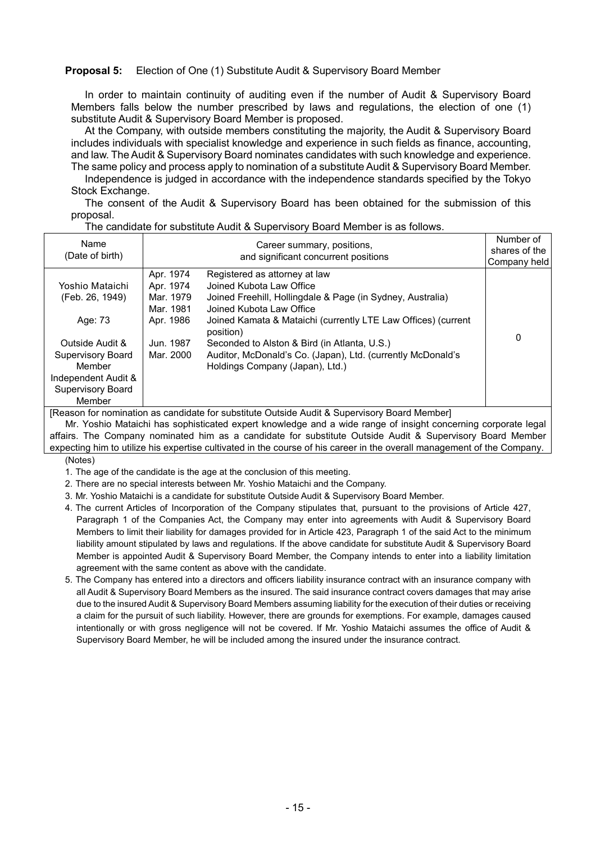#### **Proposal 5:** Election of One (1) Substitute Audit & Supervisory Board Member

In order to maintain continuity of auditing even if the number of Audit & Supervisory Board Members falls below the number prescribed by laws and regulations, the election of one (1) substitute Audit & Supervisory Board Member is proposed.

At the Company, with outside members constituting the majority, the Audit & Supervisory Board includes individuals with specialist knowledge and experience in such fields as finance, accounting, and law. The Audit & Supervisory Board nominates candidates with such knowledge and experience. The same policy and process apply to nomination of a substitute Audit & Supervisory Board Member.

Independence is judged in accordance with the independence standards specified by the Tokyo Stock Exchange.

The consent of the Audit & Supervisory Board has been obtained for the submission of this proposal.

| Name<br>(Date of birth)            |                                                  | Career summary, positions,<br>and significant concurrent positions                                                                                  | Number of<br>shares of the<br>Company held |
|------------------------------------|--------------------------------------------------|-----------------------------------------------------------------------------------------------------------------------------------------------------|--------------------------------------------|
| Yoshio Mataichi<br>(Feb. 26, 1949) | Apr. 1974<br>Apr. 1974<br>Mar. 1979<br>Mar. 1981 | Registered as attorney at law<br>Joined Kubota Law Office<br>Joined Freehill, Hollingdale & Page (in Sydney, Australia)<br>Joined Kubota Law Office |                                            |
| Age: 73                            | Apr. 1986                                        | Joined Kamata & Mataichi (currently LTE Law Offices) (current<br>position)                                                                          | 0                                          |
| Outside Audit &                    | Jun. 1987                                        | Seconded to Alston & Bird (in Atlanta, U.S.)                                                                                                        |                                            |
| <b>Supervisory Board</b>           | Mar. 2000                                        | Auditor, McDonald's Co. (Japan), Ltd. (currently McDonald's                                                                                         |                                            |
| Member                             |                                                  | Holdings Company (Japan), Ltd.)                                                                                                                     |                                            |
| Independent Audit &                |                                                  |                                                                                                                                                     |                                            |
| <b>Supervisory Board</b>           |                                                  |                                                                                                                                                     |                                            |
| Member                             |                                                  |                                                                                                                                                     |                                            |

The candidate for substitute Audit & Supervisory Board Member is as follows.

[Reason for nomination as candidate for substitute Outside Audit & Supervisory Board Member]

Mr. Yoshio Mataichi has sophisticated expert knowledge and a wide range of insight concerning corporate legal affairs. The Company nominated him as a candidate for substitute Outside Audit & Supervisory Board Member expecting him to utilize his expertise cultivated in the course of his career in the overall management of the Company.

(Notes)

- 1. The age of the candidate is the age at the conclusion of this meeting.
- 2. There are no special interests between Mr. Yoshio Mataichi and the Company.
- 3. Mr. Yoshio Mataichi is a candidate for substitute Outside Audit & Supervisory Board Member.
- 4. The current Articles of Incorporation of the Company stipulates that, pursuant to the provisions of Article 427, Paragraph 1 of the Companies Act, the Company may enter into agreements with Audit & Supervisory Board Members to limit their liability for damages provided for in Article 423, Paragraph 1 of the said Act to the minimum liability amount stipulated by laws and regulations. If the above candidate for substitute Audit & Supervisory Board Member is appointed Audit & Supervisory Board Member, the Company intends to enter into a liability limitation agreement with the same content as above with the candidate.
- 5. The Company has entered into a directors and officers liability insurance contract with an insurance company with all Audit & Supervisory Board Members as the insured. The said insurance contract covers damages that may arise due to the insured Audit & Supervisory Board Members assuming liability for the execution of their duties or receiving a claim for the pursuit of such liability. However, there are grounds for exemptions. For example, damages caused intentionally or with gross negligence will not be covered. If Mr. Yoshio Mataichi assumes the office of Audit & Supervisory Board Member, he will be included among the insured under the insurance contract.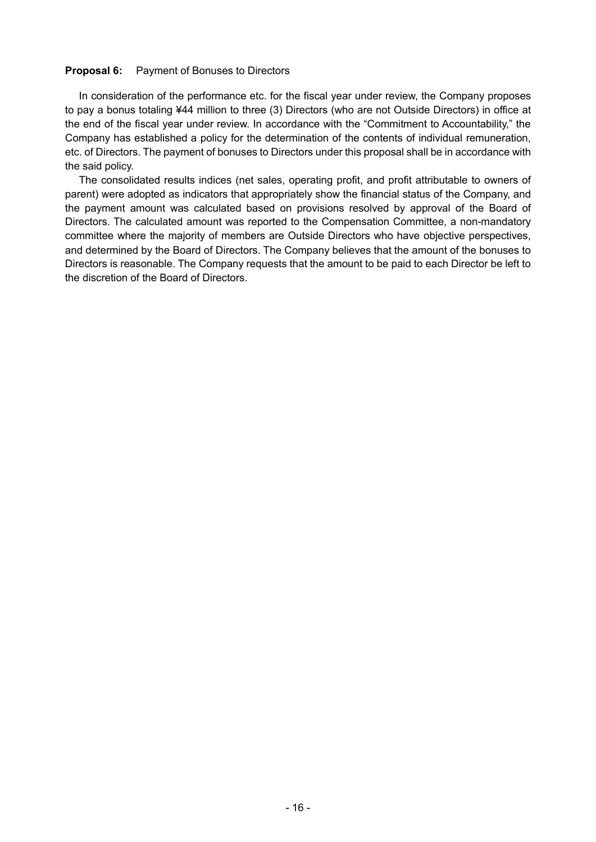#### **Proposal 6:** Payment of Bonuses to Directors

In consideration of the performance etc. for the fiscal year under review, the Company proposes to pay a bonus totaling ¥44 million to three (3) Directors (who are not Outside Directors) in office at the end of the fiscal year under review. In accordance with the "Commitment to Accountability," the Company has established a policy for the determination of the contents of individual remuneration, etc. of Directors. The payment of bonuses to Directors under this proposal shall be in accordance with the said policy.

The consolidated results indices (net sales, operating profit, and profit attributable to owners of parent) were adopted as indicators that appropriately show the financial status of the Company, and the payment amount was calculated based on provisions resolved by approval of the Board of Directors. The calculated amount was reported to the Compensation Committee, a non-mandatory committee where the majority of members are Outside Directors who have objective perspectives, and determined by the Board of Directors. The Company believes that the amount of the bonuses to Directors is reasonable. The Company requests that the amount to be paid to each Director be left to the discretion of the Board of Directors.